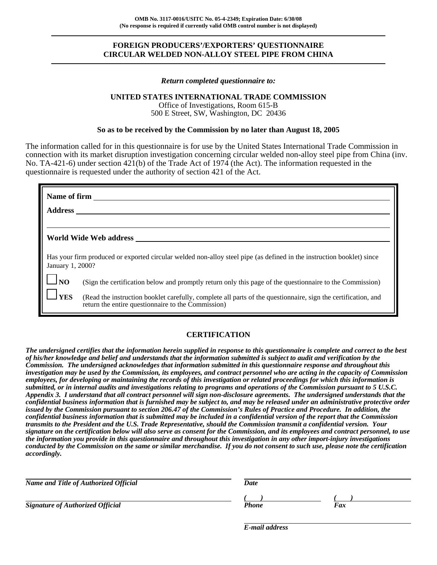# **FOREIGN PRODUCERS'/EXPORTERS' QUESTIONNAIRE CIRCULAR WELDED NON-ALLOY STEEL PIPE FROM CHINA**

#### *Return completed questionnaire to:*

### **UNITED STATES INTERNATIONAL TRADE COMMISSION**

Office of Investigations, Room 615-B 500 E Street, SW, Washington, DC 20436

#### **So as to be received by the Commission by no later than August 18, 2005**

The information called for in this questionnaire is for use by the United States International Trade Commission in connection with its market disruption investigation concerning circular welded non-alloy steel pipe from China (inv. No. TA-421-6) under section 421(b) of the Trade Act of 1974 (the Act). The information requested in the questionnaire is requested under the authority of section 421 of the Act.

|                  | <b>Name of firm</b>                                                                                                                                                 |
|------------------|---------------------------------------------------------------------------------------------------------------------------------------------------------------------|
| <b>Address</b>   |                                                                                                                                                                     |
|                  |                                                                                                                                                                     |
|                  | World Wide Web address                                                                                                                                              |
| January 1, 2000? | Has your firm produced or exported circular welded non-alloy steel pipe (as defined in the instruction booklet) since                                               |
| $\Box$ NO        | (Sign the certification below and promptly return only this page of the questionnaire to the Commission)                                                            |
| <b>I</b> YES     | (Read the instruction booklet carefully, complete all parts of the questionnaire, sign the certification, and<br>return the entire questionnaire to the Commission) |

### **CERTIFICATION**

*The undersigned certifies that the information herein supplied in response to this questionnaire is complete and correct to the best of his/her knowledge and belief and understands that the information submitted is subject to audit and verification by the Commission. The undersigned acknowledges that information submitted in this questionnaire response and throughout this investigation may be used by the Commission, its employees, and contract personnel who are acting in the capacity of Commission employees, for developing or maintaining the records of this investigation or related proceedings for which this information is submitted, or in internal audits and investigations relating to programs and operations of the Commission pursuant to 5 U.S.C. Appendix 3. I understand that all contract personnel will sign non-disclosure agreements. The undersigned understands that the confidential business information that is furnished may be subject to, and may be released under an administrative protective order issued by the Commission pursuant to section 206.47 of the Commission's Rules of Practice and Procedure. In addition, the confidential business information that is submitted may be included in a confidential version of the report that the Commission transmits to the President and the U.S. Trade Representative, should the Commission transmit a confidential version. Your signature on the certification below will also serve as consent for the Commission, and its employees and contract personnel, to use the information you provide in this questionnaire and throughout this investigation in any other import-injury investigations conducted by the Commission on the same or similar merchandise. If you do not consent to such use, please note the certification accordingly.*

| Name and Title of Authorized Official   | Date         |     |
|-----------------------------------------|--------------|-----|
| <b>Signature of Authorized Official</b> | <b>Phone</b> | Fax |

*E-mail address*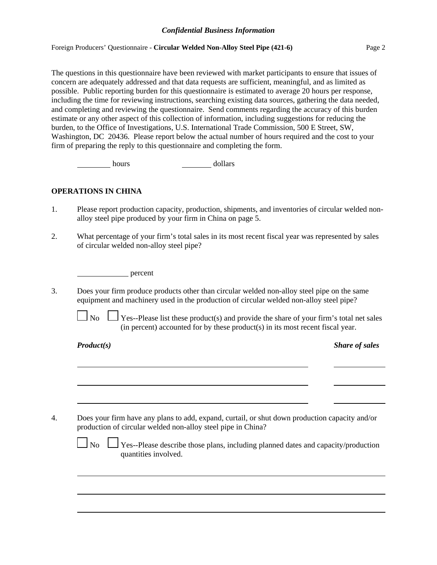### *Confidential Business Information*

Foreign Producers' Questionnaire - **Circular Welded Non-Alloy Steel Pipe (421-6)** Page 2

The questions in this questionnaire have been reviewed with market participants to ensure that issues of concern are adequately addressed and that data requests are sufficient, meaningful, and as limited as possible. Public reporting burden for this questionnaire is estimated to average 20 hours per response, including the time for reviewing instructions, searching existing data sources, gathering the data needed, and completing and reviewing the questionnaire. Send comments regarding the accuracy of this burden estimate or any other aspect of this collection of information, including suggestions for reducing the burden, to the Office of Investigations, U.S. International Trade Commission, 500 E Street, SW, Washington, DC 20436. Please report below the actual number of hours required and the cost to your firm of preparing the reply to this questionnaire and completing the form.

hours dollars

# **OPERATIONS IN CHINA**

- 1. Please report production capacity, production, shipments, and inventories of circular welded nonalloy steel pipe produced by your firm in China on page 5.
- 2. What percentage of your firm's total sales in its most recent fiscal year was represented by sales of circular welded non-alloy steel pipe?

percent

3. Does your firm produce products other than circular welded non-alloy steel pipe on the same equipment and machinery used in the production of circular welded non-alloy steel pipe?

 $\Box$  No  $\Box$  Yes--Please list these product(s) and provide the share of your firm's total net sales (in percent) accounted for by these product(s) in its most recent fiscal year.

*Product(s) Share of sales*

4. Does your firm have any plans to add, expand, curtail, or shut down production capacity and/or production of circular welded non-alloy steel pipe in China?

 $\Box$  No  $\Box$  Yes--Please describe those plans, including planned dates and capacity/production quantities involved.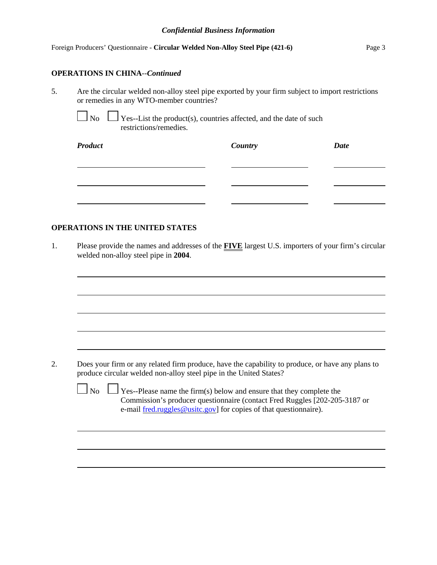|  |  | Foreign Producers' Questionnaire - Circular Welded Non-Alloy Steel Pipe (421-6) | Page 3 |
|--|--|---------------------------------------------------------------------------------|--------|
|--|--|---------------------------------------------------------------------------------|--------|

# **OPERATIONS IN CHINA**--*Continued*

5. Are the circular welded non-alloy steel pipe exported by your firm subject to import restrictions or remedies in any WTO-member countries?

 $\Box$  No  $\Box$  Yes--List the product(s), countries affected, and the date of such restrictions/remedies.

| <b>Product</b> | Country | <b>Date</b> |
|----------------|---------|-------------|
|                |         |             |
|                |         |             |
|                |         |             |

# **OPERATIONS IN THE UNITED STATES**

1. Please provide the names and addresses of the **FIVE** largest U.S. importers of your firm's circular welded non-alloy steel pipe in **2004**.

| Does your firm or any related firm produce, have the capability to produce, or have any plans to<br>produce circular welded non-alloy steel pipe in the United States?                                                                   |
|------------------------------------------------------------------------------------------------------------------------------------------------------------------------------------------------------------------------------------------|
| $\Box$ No $\Box$ Yes--Please name the firm(s) below and ensure that they complete the<br>Commission's producer questionnaire (contact Fred Ruggles [202-205-3187 or<br>e-mail fred.ruggles@usitc.gov] for copies of that questionnaire). |
|                                                                                                                                                                                                                                          |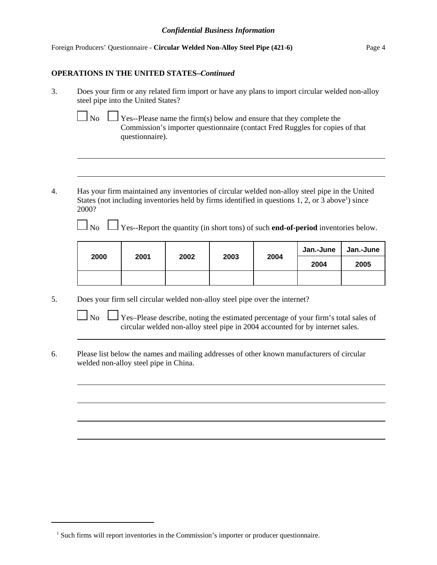Foreign Producers' Questionnaire - **Circular Welded Non-Alloy Steel Pipe (421-6)** Page 4

### **OPERATIONS IN THE UNITED STATES–***Continued*

- 3. Does your firm or any related firm import or have any plans to import circular welded non-alloy steel pipe into the United States?
	-

No  $\Box$  Yes--Please name the firm(s) below and ensure that they complete the Commission's importer questionnaire (contact Fred Ruggles for copies of that questionnaire).

4. Has your firm maintained any inventories of circular welded non-alloy steel pipe in the United States (not including inventories held by firms identified in questions 1, 2, or 3 above<sup>1</sup>) since 2000?

No  $\Box$  Yes--Report the quantity (in short tons) of such **end-of-period** inventories below.

|      |      |      |      |      | Jan.-June | Jan.-June |
|------|------|------|------|------|-----------|-----------|
| 2000 | 2001 | 2002 | 2003 | 2004 | 2004      | 2005      |
|      |      |      |      |      |           |           |

5. Does your firm sell circular welded non-alloy steel pipe over the internet?

 $\Box$  No  $\Box$  Yes–Please describe, noting the estimated percentage of your firm's total sales of circular welded non-alloy steel pipe in 2004 accounted for by internet sales.

6. Please list below the names and mailing addresses of other known manufacturers of circular welded non-alloy steel pipe in China.

<sup>&</sup>lt;sup>1</sup> Such firms will report inventories in the Commission's importer or producer questionnaire.